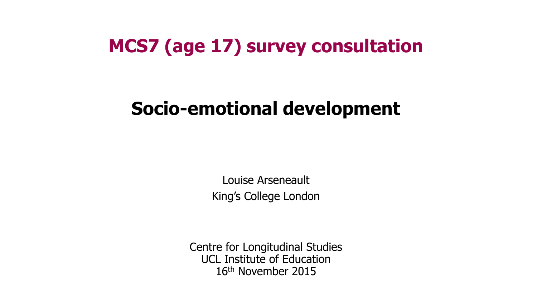#### **MCS7 (age 17) survey consultation**

### **Socio-emotional development**

Louise Arseneault King's College London

Centre for Longitudinal Studies UCL Institute of Education 16th November 2015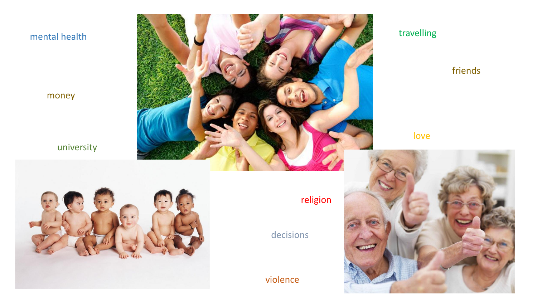#### mental health

money

**politics** and

#### university

studying

drugs



#### travelling

friends

#### love



religion

decisions

violence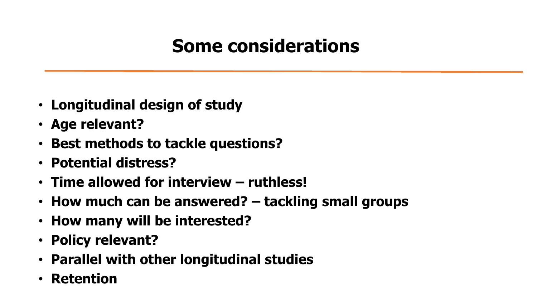## **Some considerations**

- **Longitudinal design of study**
- **Age relevant?**
- **Best methods to tackle questions?**
- **Potential distress?**
- **Time allowed for interview – ruthless!**
- **How much can be answered? – tackling small groups**
- **How many will be interested?**
- **Policy relevant?**
- **Parallel with other longitudinal studies**
- **Retention**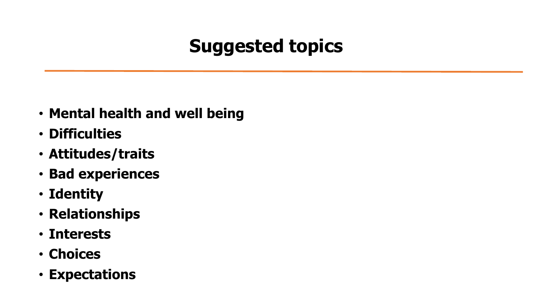# **Suggested topics**

- **Mental health and well being**
- **Difficulties**
- **Attitudes/traits**
- **Bad experiences**
- **Identity**
- **Relationships**
- **Interests**
- **Choices**
- **Expectations**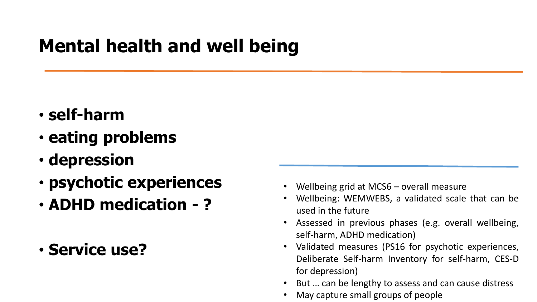## **Mental health and well being**

- **self-harm**
- **eating problems**
- **depression**
- **psychotic experiences**
- **ADHD medication - ?**
- **Service use?**
- Wellbeing grid at MCS6 overall measure
- Wellbeing: WEMWEBS, a validated scale that can be used in the future
- Assessed in previous phases (e.g. overall wellbeing, self-harm, ADHD medication)
- Validated measures (PS16 for psychotic experiences, Deliberate Self-harm Inventory for self-harm, CES-D for depression)
- But ... can be lengthy to assess and can cause distress
- May capture small groups of people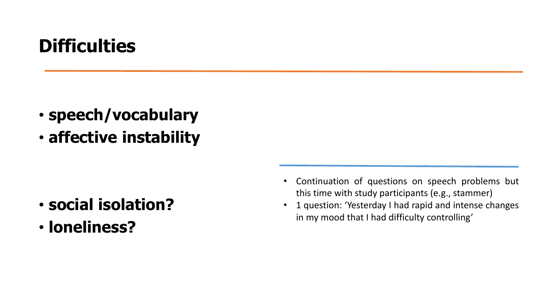## **Difficulties**

- **speech/vocabulary**
- **affective instability**

- **social isolation?**
- **loneliness?**
- Continuation of questions on speech problems but this time with study participants (e.g., stammer)
- 1 question: 'Yesterday I had rapid and intense changes in my mood that I had difficulty controlling'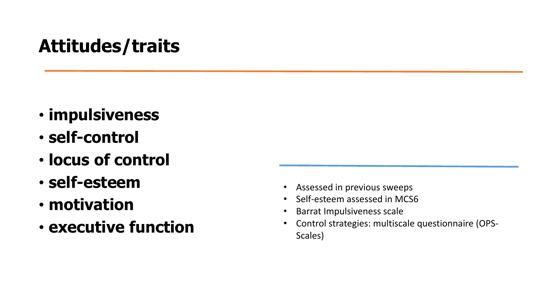### **Attitudes/traits**

- **impulsiveness**
- **self-control**
- **locus of control**
- **self-esteem**
- **motivation**
- **executive function**
- Assessed in previous sweeps
- Self-esteem assessed in MCS6
- Barrat Impulsiveness scale
- Control strategies: multiscale questionnaire (OPS-Scales)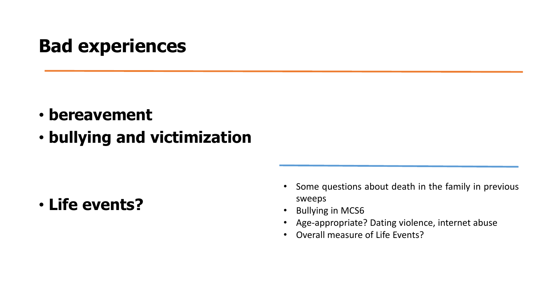### **Bad experiences**

- **bereavement**
- **bullying and victimization**

• **Life events?**

- Some questions about death in the family in previous sweeps
- Bullying in MCS6
- Age-appropriate? Dating violence, internet abuse
- Overall measure of Life Events?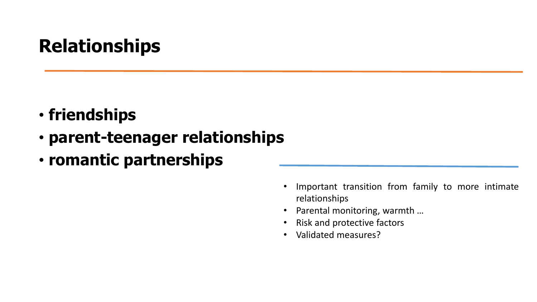# **Relationships**

- **friendships**
- **parent-teenager relationships**
- **romantic partnerships**

- Important transition from family to more intimate relationships
- Parental monitoring, warmth …
- Risk and protective factors
- Validated measures?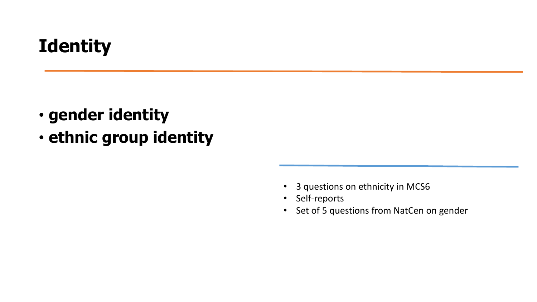# **Identity**

- **gender identity**
- **ethnic group identity**

- 3 questions on ethnicity in MCS6
- Self-reports
- Set of 5 questions from NatCen on gender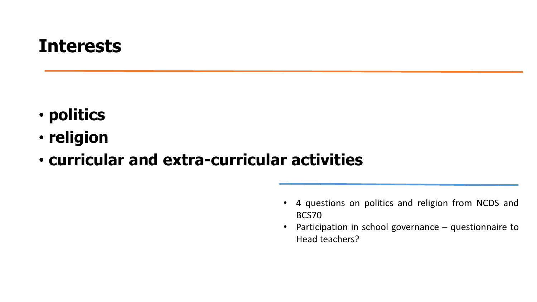#### **Interests**

- **politics**
- **religion**
- **curricular and extra-curricular activities**
	- 4 questions on politics and religion from NCDS and BCS70
	- Participation in school governance questionnaire to Head teachers?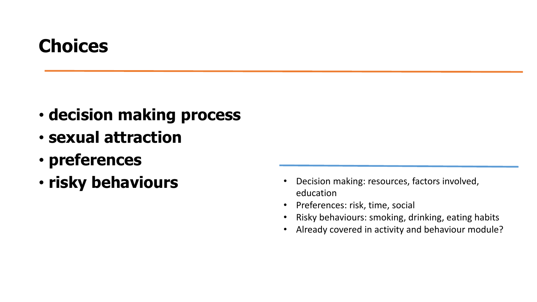# **Choices**

- **decision making process**
- **sexual attraction**
- **preferences**
- 
- **risky behaviours** Decision making: resources, factors involved, education
	- Preferences: risk, time, social
	- Risky behaviours: smoking, drinking, eating habits
	- Already covered in activity and behaviour module?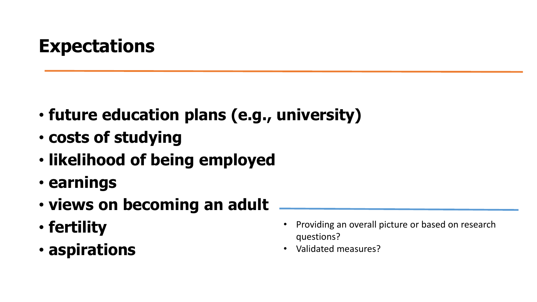## **Expectations**

- **future education plans (e.g., university)**
- **costs of studying**
- **likelihood of being employed**
- **earnings**
- **views on becoming an adult**
- **fertility**
- **aspirations**
- Providing an overall picture or based on research questions?
- Validated measures?